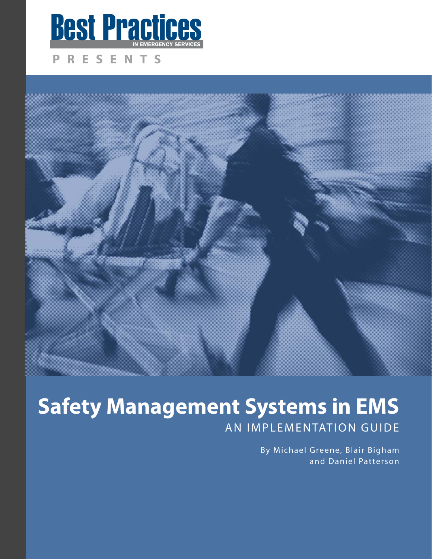

#### RESENTS P. **PRESENT**



# **SAN IMPLEMENTATION GUIDE**

By Michael Greene, Blair Bigham and Daniel Patterson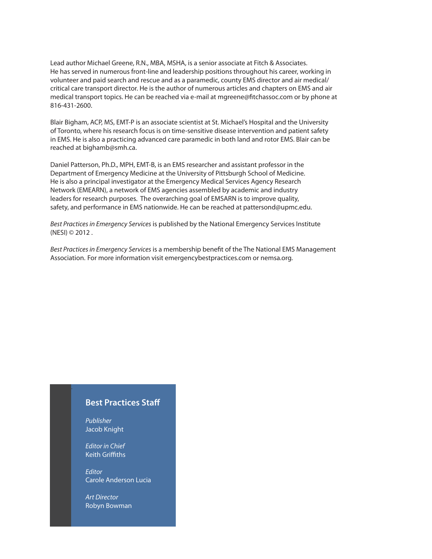Lead author Michael Greene, R.N., MBA, MSHA, is a senior associate at Fitch & Associates. He has served in numerous front-line and leadership positions throughout his career, working in volunteer and paid search and rescue and as a paramedic, county EMS director and air medical/ critical care transport director. He is the author of numerous articles and chapters on EMS and air medical transport topics. He can be reached via e-mail at mgreene@fitchassoc.com or by phone at 816-431-2600.

Blair Bigham, ACP, MS, EMT-P is an associate scientist at St. Michael's Hospital and the University of Toronto, where his research focus is on time-sensitive disease intervention and patient safety in EMS. He is also a practicing advanced care paramedic in both land and rotor EMS. Blair can be reached at bighamb@smh.ca.

Daniel Patterson, Ph.D., MPH, EMT-B, is an EMS researcher and assistant professor in the Department of Emergency Medicine at the University of Pittsburgh School of Medicine. He is also a principal investigator at the Emergency Medical Services Agency Research Network (EMEARN), a network of EMS agencies assembled by academic and industry leaders for research purposes. The overarching goal of EMSARN is to improve quality, safety, and performance in EMS nationwide. He can be reached at pattersond@upmc.edu.

Best Practices in Emergency Services is published by the National Emergency Services Institute (NESI) © 2012 .

Best Practices in Emergency Services is a membership benefit of the The National EMS Management Association. For more information visit emergencybestpractices.com or nemsa.org.

#### **Best Practices Staff**

Publisher Jacob Knight

.

Editor in Chief Keith Griffiths

**Editor** Carole Anderson Lucia

Art Director Robyn Bowman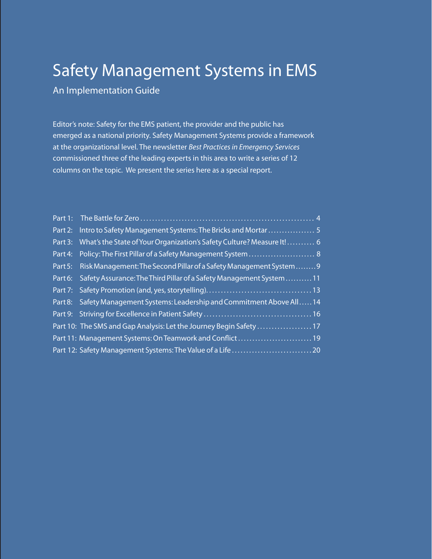## Safety Management Systems in EMS<br>An Implementation Guide

Editor's note: Safety for the EMS patient, the provider and the public has emerged as a national priority. Safety Management Systems provide a framework at the organizational level. The newsletter Best Practices in Emergency Services commissioned three of the leading experts in this area to write a series of 12 columns on the topic. We present the series here as a special report.

|         | Part 3: What's the State of Your Organization's Safety Culture? Measure It! 6 |
|---------|-------------------------------------------------------------------------------|
|         | Part 4: Policy: The First Pillar of a Safety Management System  8             |
|         | Part 5: Risk Management: The Second Pillar of a Safety Management System9     |
| Part 6: | Safety Assurance: The Third Pillar of a Safety Management System  11          |
|         |                                                                               |
|         | Part 8: Safety Management Systems: Leadership and Commitment Above All14      |
|         |                                                                               |
|         | Part 10: The SMS and Gap Analysis: Let the Journey Begin Safety  17           |
|         | Part 11: Management Systems: On Teamwork and Conflict 19                      |
|         |                                                                               |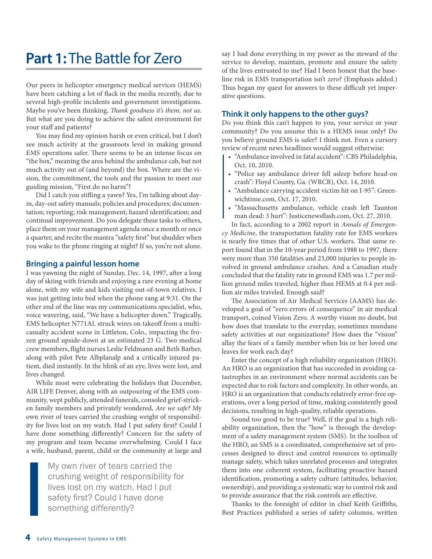### **Part 1:** The Battle for Zero

Our peers in helicopter emergency medical services (HEMS) have been catching a lot of flack in the media recently, due to several high-profile incidents and government investigations. Maybe you've been thinking, Thank goodness it's them, not us. But what are you doing to achieve the safest environment for your staff and patients?

You may find my opinion harsh or even critical, but I don't see much activity at the grassroots level in making ground EMS operations safer. There seems to be an intense focus on "the box," meaning the area behind the ambulance cab, but not much activity out of (and beyond) the box. Where are the vision, the commitment, the tools and the passion to meet our guiding mission, "First do no harm"?

Did I catch you stifling a yawn? Yes, I'm talking about dayin, day-out safety manuals; policies and procedures; documentation; reporting; risk management; hazard identification; and continual improvement. Do you delegate these tasks to others, place them on your management agenda once a month or once a quarter, and recite the mantra "safety first" but shudder when you wake to the phone ringing at night? If so, you're not alone.

#### **Bringing a painful lesson home**

I was yawning the night of Sunday, Dec. 14, 1997, after a long day of skiing with friends and enjoying a rare evening at home alone, with my wife and kids visiting out-of-town relatives. I was just getting into bed when the phone rang at 9:31. On the other end of the line was my communications specialist, who, voice wavering, said, "We have a helicopter down." Tragically, EMS helicopter N771AL struck wires on takeoff from a multicasualty accident scene in Littleton, Colo., impacting the frozen ground upside-down at an estimated 23 G. Two medical crew members, flight nurses Leslie Feldmann and Beth Barber, along with pilot Pete Albplanalp and a critically injured patient, died instantly. In the blink of an eye, lives were lost, and lives changed.

While most were celebrating the holidays that December, AIR LIFE Denver, along with an outpouring of the EMS community, wept publicly, attended funerals, consoled grief-stricken family members and privately wondered, Are we safe? My own river of tears carried the crushing weight of responsibility for lives lost on my watch. Had I put safety first? Could I have done something differently? Concern for the safety of my program and team became overwhelming. Could I face a wife, husband, parent, child or the community at large and

> My own river of tears carried the crushing weight of responsibility for lives lost on my watch. Had I put safety first? Could I have done something differently?

say I had done everything in my power as the steward of the service to develop, maintain, promote and ensure the safety of the lives entrusted to me? Had I been honest that the baseline risk in EMS transportation isn't zero? (Emphasis added.) Thus began my quest for answers to these difficult yet imperative questions.

#### **Think it only happens to the other guys?**

Do you think this can't happen to you, your service or your community? Do you assume this is a HEMS issue only? Do you believe ground EMS is safer? I think not. Even a cursory review of recent news headlines would suggest otherwise:

- "Ambulance involved in fatal accident": CBS Philadelphia, Oct. 10, 2010.
- "Police say ambulance driver fell asleep before head-on crash": Floyd County, Ga. (WRCB), Oct. 14, 2010.
- "Ambulance carrying accident victim hit on I-95": Greenwichtime.com, Oct. 17, 2010.
- "Massachusetts ambulance, vehicle crash left Taunton man dead: 3 hurt": Justicenewsflash.com, Oct. 27, 2010.

In fact, according to a 2002 report in Annals of Emergency Medicine, the transportation fatality rate for EMS workers is nearly five times that of other U.S. workers. That same report found that in the 10-year period from 1988 to 1997, there were more than 350 fatalities and 23,000 injuries to people involved in ground ambulance crashes. And a Canadian study concluded that the fatality rate in ground EMS was 1.7 per million ground miles traveled, higher than HEMS at 0.4 per million air miles traveled. Enough said?

The Association of Air Medical Services (AAMS) has developed a goal of "zero errors of consequence" in air medical transport, coined Vision Zero. A worthy vision no doubt, but how does that translate to the everyday, sometimes mundane safety activities at our organizations? How does the "vision" allay the fears of a family member when his or her loved one leaves for work each day?

Enter the concept of a high reliability organization (HRO). An HRO is an organization that has succeeded in avoiding catastrophes in an environment where normal accidents can be expected due to risk factors and complexity. In other words, an HRO is an organization that conducts relatively error-free operations, over a long period of time, making consistently good decisions, resulting in high-quality, reliable operations.

Sound too good to be true? Well, if the goal is a high reliability organization, then the "how" is through the development of a safety management system (SMS). In the toolbox of the HRO, an SMS is a coordinated, comprehensive set of processes designed to direct and control resources to optimally manage safety, which takes unrelated processes and integrates them into one coherent system, facilitating proactive hazard identification, promoting a safety culture (attitudes, behavior, ownership), and providing a systematic way to control risk and to provide assurance that the risk controls are effective.

Thanks to the foresight of editor in chief Keith Griffiths, Best Practices published a series of safety columns, written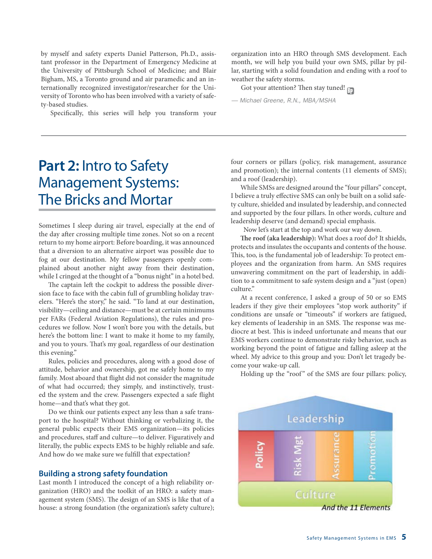by myself and safety experts Daniel Patterson, Ph.D., assistant professor in the Department of Emergency Medicine at the University of Pittsburgh School of Medicine; and Blair Bigham, MS, a Toronto ground and air paramedic and an internationally recognized investigator/researcher for the University of Toronto who has been involved with a variety of safety-based studies.

Specifically, this series will help you transform your

organization into an HRO through SMS development. Each month, we will help you build your own SMS, pillar by pillar, starting with a solid foundation and ending with a roof to weather the safety storms.

Got your attention? Then stay tuned! <sub>Bp</sub>

— Michael Greene, R.N., MBA/MSHA

### **Part 2:** Intro to Safety Management Systems: The Bricks and Mortar

Sometimes I sleep during air travel, especially at the end of the day after crossing multiple time zones. Not so on a recent return to my home airport: Before boarding, it was announced that a diversion to an alternative airport was possible due to fog at our destination. My fellow passengers openly complained about another night away from their destination, while I cringed at the thought of a "bonus night" in a hotel bed.

The captain left the cockpit to address the possible diversion face to face with the cabin full of grumbling holiday travelers. "Here's the story," he said. "To land at our destination, visibility—ceiling and distance—must be at certain minimums per FARs (Federal Aviation Regulations), the rules and procedures we follow. Now I won't bore you with the details, but here's the bottom line: I want to make it home to my family, and you to yours. That's my goal, regardless of our destination this evening."

Rules, policies and procedures, along with a good dose of attitude, behavior and ownership, got me safely home to my family. Most aboard that flight did not consider the magnitude of what had occurred; they simply, and instinctively, trusted the system and the crew. Passengers expected a safe flight home—and that's what they got.

Do we think our patients expect any less than a safe transport to the hospital? Without thinking or verbalizing it, the general public expects their EMS organization—its policies and procedures, staff and culture—to deliver. Figuratively and literally, the public expects EMS to be highly reliable and safe. And how do we make sure we fulfill that expectation?

#### **Building a strong safety foundation**

Last month I introduced the concept of a high reliability organization (HRO) and the toolkit of an HRO: a safety management system (SMS). The design of an SMS is like that of a house: a strong foundation (the organization's safety culture);

four corners or pillars (policy, risk management, assurance and promotion); the internal contents (11 elements of SMS); and a roof (leadership).

While SMSs are designed around the "four pillars" concept, I believe a truly effective SMS can only be built on a solid safety culture, shielded and insulated by leadership, and connected and supported by the four pillars. In other words, culture and leadership deserve (and demand) special emphasis.

Now let's start at the top and work our way down.

**The roof (aka leadership):** What does a roof do? It shields, protects and insulates the occupants and contents of the house. This, too, is the fundamental job of leadership: To protect employees and the organization from harm. An SMS requires unwavering commitment on the part of leadership, in addition to a commitment to safe system design and a "just (open) culture"

At a recent conference, I asked a group of 50 or so EMS leaders if they give their employees "stop work authority" if conditions are unsafe or "timeouts" if workers are fatigued, key elements of leadership in an SMS. The response was mediocre at best. This is indeed unfortunate and means that our EMS workers continue to demonstrate risky behavior, such as working beyond the point of fatigue and falling asleep at the wheel. My advice to this group and you: Don't let tragedy become your wake-up call.

Holding up the "roof" of the SMS are four pillars: policy,

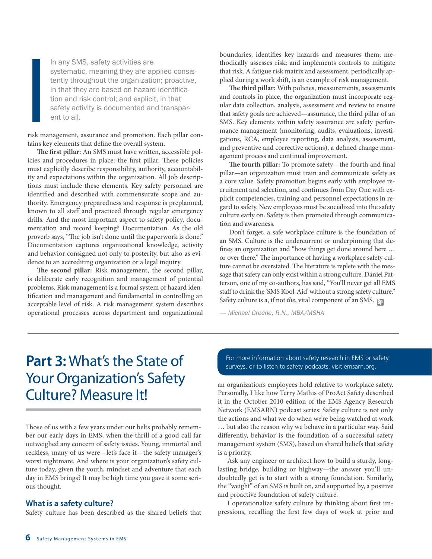In any SMS, safety activities are systematic, meaning they are applied consistently throughout the organization; proactive, in that they are based on hazard identification and risk control; and explicit, in that safety activity is documented and transparent to all.

risk management, assurance and promotion. Each pillar contains key elements that define the overall system.

**The first pillar:** An SMS must have written, accessible policies and procedures in place: the first pillar. These policies must explicitly describe responsibility, authority, accountability and expectations within the organization. All job descriptions must include these elements. Key safety personnel are identified and described with commensurate scope and authority. Emergency preparedness and response is preplanned, known to all staff and practiced through regular emergency drills. And the most important aspect to safety policy, documentation and record keeping? Documentation. As the old proverb says, "The job isn't done until the paperwork is done." Documentation captures organizational knowledge, activity and behavior consigned not only to posterity, but also as evidence to an accrediting organization or a legal inquiry.

**The second pillar:** Risk management, the second pillar, is deliberate early recognition and management of potential problems. Risk management is a formal system of hazard identification and management and fundamental in controlling an acceptable level of risk. A risk management system describes operational processes across department and organizational

boundaries; identifies key hazards and measures them; methodically assesses risk; and implements controls to mitigate that risk. A fatigue risk matrix and assessment, periodically applied during a work shift, is an example of risk management.

**The third pillar:** With policies, measurements, assessments and controls in place, the organization must incorporate regular data collection, analysis, assessment and review to ensure that safety goals are achieved—assurance, the third pillar of an SMS. Key elements within safety assurance are safety performance management (monitoring, audits, evaluations, investigations, RCA, employee reporting, data analysis, assessment, and preventive and corrective actions), a defined change management process and continual improvement.

**The fourth pillar:** To promote safety—the fourth and final pillar—an organization must train and communicate safety as a core value. Safety promotion begins early with employee recruitment and selection, and continues from Day One with explicit competencies, training and personnel expectations in regard to safety. New employees must be socialized into the safety culture early on. Safety is then promoted through communication and awareness.

Don't forget, a safe workplace culture is the foundation of an SMS. Culture is the undercurrent or underpinning that defines an organization and "how things get done around here … or over there." The importance of having a workplace safety culture cannot be overstated. The literature is replete with the message that safety can only exist within a strong culture. Daniel Patterson, one of my co-authors, has said, "You'll never get all EMS staff to drink the 'SMS Kool-Aid' without a strong safety culture." Safety culture is a, if not *the*, vital component of an SMS.  $_{\tiny{\textcircled{F}}}$ 

— Michael Greene, R.N., MBA/MSHA

### **Part 3:** What's the State of Your Organization's Safety Culture? Measure It!

Those of us with a few years under our belts probably remember our early days in EMS, when the thrill of a good call far outweighed any concern of safety issues. Young, immortal and reckless, many of us were—let's face it—the safety manager's worst nightmare. And where is your organization's safety culture today, given the youth, mindset and adventure that each day in EMS brings? It may be high time you gave it some serious thought.

#### **What is a safety culture?**

Safety culture has been described as the shared beliefs that

For more information about safety research in EMS or safety surveys, or to listen to safety podcasts, visit emsarn.org.

an organization's employees hold relative to workplace safety. Personally, I like how Terry Mathis of ProAct Safety described it in the October 2010 edition of the EMS Agency Research Network (EMSARN) podcast series: Safety culture is not only the actions and what we do when we're being watched at work … but also the reason why we behave in a particular way. Said differently, behavior is the foundation of a successful safety management system (SMS), based on shared beliefs that safety is a priority.

Ask any engineer or architect how to build a sturdy, longlasting bridge, building or highway—the answer you'll undoubtedly get is to start with a strong foundation. Similarly, the "weight" of an SMS is built on, and supported by, a positive and proactive foundation of safety culture.

I operationalize safety culture by thinking about first impressions, recalling the first few days of work at prior and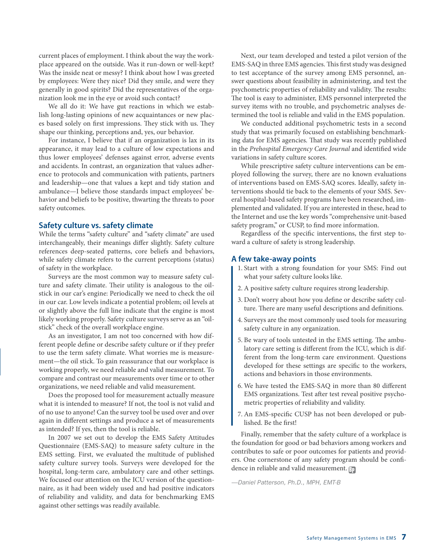current places of employment. I think about the way the workplace appeared on the outside. Was it run-down or well-kept? Was the inside neat or messy? I think about how I was greeted by employees: Were they nice? Did they smile, and were they generally in good spirits? Did the representatives of the organization look me in the eye or avoid such contact?

We all do it: We have gut reactions in which we establish long-lasting opinions of new acquaintances or new places based solely on first impressions. They stick with us. They shape our thinking, perceptions and, yes, our behavior.

For instance, I believe that if an organization is lax in its appearance, it may lead to a culture of low expectations and thus lower employees' defenses against error, adverse events and accidents. In contrast, an organization that values adherence to protocols and communication with patients, partners and leadership—one that values a kept and tidy station and ambulance—I believe those standards impact employees' behavior and beliefs to be positive, thwarting the threats to poor safety outcomes.

#### **Safety culture vs. safety climate**

While the terms "safety culture" and "safety climate" are used interchangeably, their meanings differ slightly. Safety culture references deep-seated patterns, core beliefs and behaviors, while safety climate refers to the current perceptions (status) of safety in the workplace.

Surveys are the most common way to measure safety culture and safety climate. Their utility is analogous to the oilstick in our car's engine: Periodically we need to check the oil in our car. Low levels indicate a potential problem; oil levels at or slightly above the full line indicate that the engine is most likely working properly. Safety culture surveys serve as an "oilstick" check of the overall workplace engine.

As an investigator, I am not too concerned with how different people define or describe safety culture or if they prefer to use the term safety climate. What worries me is measurement—the oil stick. To gain reassurance that our workplace is working properly, we need reliable and valid measurement. To compare and contrast our measurements over time or to other organizations, we need reliable and valid measurement.

Does the proposed tool for measurement actually measure what it is intended to measure? If not, the tool is not valid and of no use to anyone! Can the survey tool be used over and over again in different settings and produce a set of measurements as intended? If yes, then the tool is reliable.

In 2007 we set out to develop the EMS Safety Attitudes Questionnaire (EMS-SAQ) to measure safety culture in the EMS setting. First, we evaluated the multitude of published safety culture survey tools. Surveys were developed for the hospital, long-term care, ambulatory care and other settings. We focused our attention on the ICU version of the questionnaire, as it had been widely used and had positive indicators of reliability and validity, and data for benchmarking EMS against other settings was readily available.

Next, our team developed and tested a pilot version of the EMS-SAQ in three EMS agencies. This first study was designed to test acceptance of the survey among EMS personnel, answer questions about feasibility in administering, and test the psychometric properties of reliability and validity. The results: The tool is easy to administer, EMS personnel interpreted the survey items with no trouble, and psychometric analyses determined the tool is reliable and valid in the EMS population.

We conducted additional psychometric tests in a second study that was primarily focused on establishing benchmarking data for EMS agencies. That study was recently published in the Prehospital Emergency Care Journal and identified wide variations in safety culture scores.

While prescriptive safety culture interventions can be employed following the survey, there are no known evaluations of interventions based on EMS-SAQ scores. Ideally, safety interventions should tie back to the elements of your SMS. Several hospital-based safety programs have been researched, implemented and validated. If you are interested in these, head to the Internet and use the key words "comprehensive unit-based safety program," or CUSP, to find more information.

Regardless of the specific interventions, the first step toward a culture of safety is strong leadership.

#### **A few take-away points**

- 1. Start with a strong foundation for your SMS: Find out what your safety culture looks like.
- 2. A positive safety culture requires strong leadership.
- 3. Don't worry about how you define or describe safety culture. There are many useful descriptions and definitions.
- 4. Surveys are the most commonly used tools for measuring safety culture in any organization.
- 5. Be wary of tools untested in the EMS setting. The ambulatory care setting is different from the ICU, which is different from the long-term care environment. Questions developed for these settings are specific to the workers, actions and behaviors in those environments.
- 6. We have tested the EMS-SAQ in more than 80 different EMS organizations. Test after test reveal positive psychometric properties of reliability and validity.
- 7. An EMS-specific CUSP has not been developed or published. Be the first!

dence in reliable and valid measurement. <mark>B</mark>p Finally, remember that the safety culture of a workplace is the foundation for good or bad behaviors among workers and contributes to safe or poor outcomes for patients and providers. One cornerstone of any safety program should be confi-

—Daniel Patterson, Ph.D., MPH, EMT-B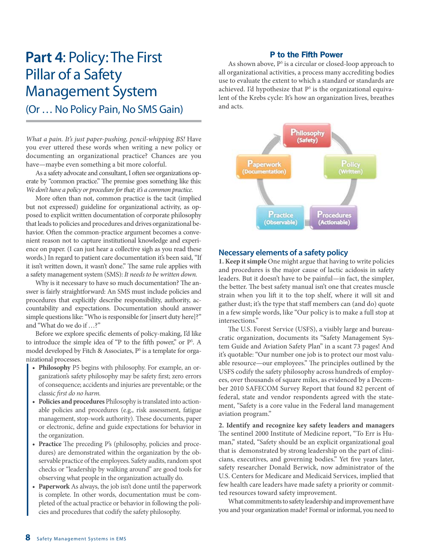### **Part 4**: Policy: The First Pillar of a Safety Management System

(Or … No Policy Pain, No SMS Gain)

What a pain. It's just paper-pushing, pencil-whipping BS! Have you ever uttered these words when writing a new policy or documenting an organizational practice? Chances are you have—maybe even something a bit more colorful.

As a safety advocate and consultant, I often see organizations operate by "common practice." The premise goes something like this: We don't have a policy or procedure for that; it's a common practice.

More often than not, common practice is the tacit (implied but not expressed) guideline for organizational activity, as opposed to explicit written documentation of corporate philosophy that leads to policies and procedures and drives organizational behavior. Often the common-practice argument becomes a convenient reason not to capture institutional knowledge and experience on paper. (I can just hear a collective sigh as you read these words.) In regard to patient care documentation it's been said, "If it isn't written down, it wasn't done." The same rule applies with a safety management system (SMS): It needs to be written down.

Why is it necessary to have so much documentation? The answer is fairly straightforward: An SMS must include policies and procedures that explicitly describe responsibility, authority, accountability and expectations. Documentation should answer simple questions like: "Who is responsible for [insert duty here]?" and "What do we do if …?"

Before we explore specific elements of policy-making, I'd like to introduce the simple idea of "P to the fifth power," or P5 . A model developed by Fitch & Associates, P<sup>5</sup> is a template for organizational processes.

- **t Philosophy** P5 begins with philosophy. For example, an organization's safety philosophy may be safety first; zero errors of consequence; accidents and injuries are preventable; or the classic first do no harm.
- **Policies and procedures** Philosophy is translated into actionable policies and procedures (e.g., risk assessment, fatigue management, stop-work authority). These documents, paper or electronic, define and guide expectations for behavior in the organization.
- **t Practice** The preceding P's (philosophy, policies and procedures) are demonstrated within the organization by the observable practice of the employees. Safety audits, random spot checks or "leadership by walking around" are good tools for observing what people in the organization actually do.
- **t Paperwork** As always, the job isn't done until the paperwork is complete. In other words, documentation must be completed of the actual practice or behavior in following the policies and procedures that codify the safety philosophy.

#### P to the Fifth Power

As shown above,  $P^5$  is a circular or closed-loop approach to all organizational activities, a process many accrediting bodies use to evaluate the extent to which a standard or standards are achieved. I'd hypothesize that  $P<sup>5</sup>$  is the organizational equivalent of the Krebs cycle: It's how an organization lives, breathes and acts.



#### **Necessary elements of a safety policy**

**1. Keep it simple** One might argue that having to write policies and procedures is the major cause of lactic acidosis in safety leaders. But it doesn't have to be painful—in fact, the simpler, the better. The best safety manual isn't one that creates muscle strain when you lift it to the top shelf, where it will sit and gather dust; it's the type that staff members can (and do) quote in a few simple words, like "Our policy is to make a full stop at intersections."

The U.S. Forest Service (USFS), a visibly large and bureaucratic organization, documents its "Safety Management System Guide and Aviation Safety Plan" in a scant 73 pages! And it's quotable: "Our number one job is to protect our most valuable resource—our employees." The principles outlined by the USFS codify the safety philosophy across hundreds of employees, over thousands of square miles, as evidenced by a December 2010 SAFECOM Survey Report that found 82 percent of federal, state and vendor respondents agreed with the statement, "Safety is a core value in the Federal land management aviation program."

**2. Identify and recognize key safety leaders and managers** The sentinel 2000 Institute of Medicine report, "To Err is Human," stated, "Safety should be an explicit organizational goal that is demonstrated by strong leadership on the part of clinicians, executives, and governing bodies." Yet five years later, safety researcher Donald Berwick, now administrator of the U.S. Centers for Medicare and Medicaid Services, implied that few health care leaders have made safety a priority or committed resources toward safety improvement.

What commitments to safety leadership and improvement have you and your organization made? Formal or informal, you need to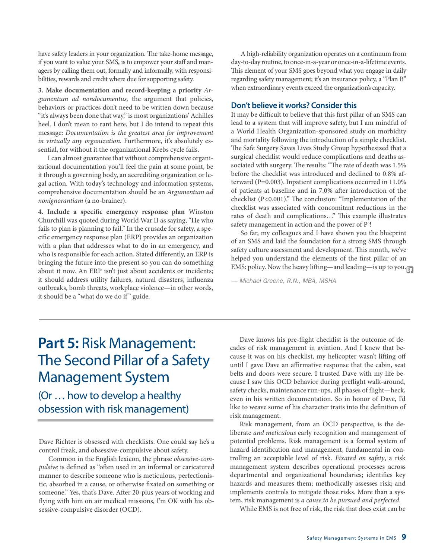have safety leaders in your organization. The take-home message, if you want to value your SMS, is to empower your staff and managers by calling them out, formally and informally, with responsibilities, rewards and credit where due for supporting safety.

**3. Make documentation and record-keeping a priority** Argumentum ad nondocumentus, the argument that policies, behaviors or practices don't need to be written down because "it's always been done that way," is most organizations' Achilles heel. I don't mean to rant here, but I do intend to repeat this message: Documentation is the greatest area for improvement in virtually any organization. Furthermore, it's absolutely essential, for without it the organizational Krebs cycle fails.

I can almost guarantee that without comprehensive organizational documentation you'll feel the pain at some point, be it through a governing body, an accrediting organization or legal action. With today's technology and information systems, comprehensive documentation should be an Argumentum ad nonignorantiam (a no-brainer).

**4. Include a specific emergency response plan** Winston Churchill was quoted during World War II as saying, "He who fails to plan is planning to fail." In the crusade for safety, a specific emergency response plan (ERP) provides an organization with a plan that addresses what to do in an emergency, and who is responsible for each action. Stated differently, an ERP is bringing the future into the present so you can do something about it now. An ERP isn't just about accidents or incidents; it should address utility failures, natural disasters, influenza outbreaks, bomb threats, workplace violence—in other words, it should be a "what do we do if" guide.

A high-reliability organization operates on a continuum from day-to-day routine, to once-in-a-year or once-in-a-lifetime events. This element of your SMS goes beyond what you engage in daily regarding safety management; it's an insurance policy, a "Plan B" when extraordinary events exceed the organization's capacity.

#### **Don't believe it works? Consider this**

It may be difficult to believe that this first pillar of an SMS can lead to a system that will improve safety, but I am mindful of a World Health Organization-sponsored study on morbidity and mortality following the introduction of a simple checklist. The Safe Surgery Saves Lives Study Group hypothesized that a surgical checklist would reduce complications and deaths associated with surgery. The results: "The rate of death was 1.5% before the checklist was introduced and declined to 0.8% afterward (P=0.003). Inpatient complications occurred in 11.0% of patients at baseline and in 7.0% after introduction of the checklist (P<0.001)." The conclusion: "Implementation of the checklist was associated with concomitant reductions in the rates of death and complications…" This example illustrates safety management in action and the power of P<sup>5</sup>!

So far, my colleagues and I have shown you the blueprint of an SMS and laid the foundation for a strong SMS through safety culture assessment and development. This month, we've helped you understand the elements of the first pillar of an EMS: policy. Now the heavy lifting—and leading—is up to you.<sub>[1]</sub>

— Michael Greene, R.N., MBA, MSHA

### **Part 5:** Risk Management: The Second Pillar of a Safety Management System

(Or … how to develop a healthy obsession with risk management)

Dave Richter is obsessed with checklists. One could say he's a control freak, and obsessive-compulsive about safety.

Common in the English lexicon, the phrase obsessive-compulsive is defined as "often used in an informal or caricatured manner to describe someone who is meticulous, perfectionistic, absorbed in a cause, or otherwise fixated on something or someone." Yes, that's Dave. After 20-plus years of working and flying with him on air medical missions, I'm OK with his obsessive-compulsive disorder (OCD).

Dave knows his pre-flight checklist is the outcome of decades of risk management in aviation. And I knew that because it was on his checklist, my helicopter wasn't lifting off until I gave Dave an affirmative response that the cabin, seat belts and doors were secure. I trusted Dave with my life because I saw this OCD behavior during preflight walk-around, safety checks, maintenance run-ups, all phases of flight—heck, even in his written documentation. So in honor of Dave, I'd like to weave some of his character traits into the definition of risk management.

Risk management, from an OCD perspective, is the deliberate and meticulous early recognition and management of potential problems. Risk management is a formal system of hazard identification and management, fundamental in controlling an acceptable level of risk. Fixated on safety, a risk management system describes operational processes across departmental and organizational boundaries; identifies key hazards and measures them; methodically assesses risk; and implements controls to mitigate those risks. More than a system, risk management is a cause to be pursued and perfected.

While EMS is not free of risk, the risk that does exist can be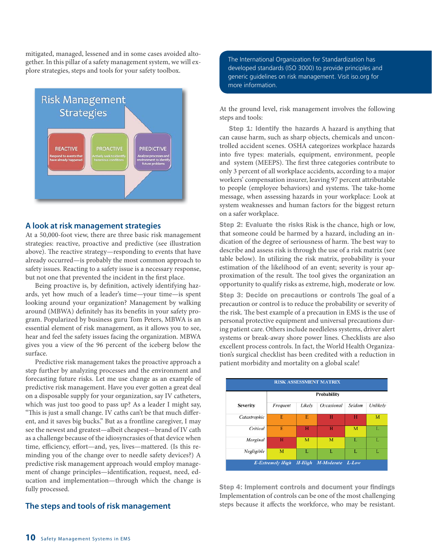mitigated, managed, lessened and in some cases avoided altogether. In this pillar of a safety management system, we will explore strategies, steps and tools for your safety toolbox.



#### **A look at risk management strategies**

At a 50,000-foot view, there are three basic risk management strategies: reactive, proactive and predictive (see illustration above). The reactive strategy—responding to events that have already occurred—is probably the most common approach to safety issues. Reacting to a safety issue is a necessary response, but not one that prevented the incident in the first place.

Being proactive is, by definition, actively identifying hazards, yet how much of a leader's time—your time—is spent looking around your organization? Management by walking around (MBWA) definitely has its benefits in your safety program. Popularized by business guru Tom Peters, MBWA is an essential element of risk management, as it allows you to see, hear and feel the safety issues facing the organization. MBWA gives you a view of the 96 percent of the iceberg below the surface.

Predictive risk management takes the proactive approach a step further by analyzing processes and the environment and forecasting future risks. Let me use change as an example of predictive risk management. Have you ever gotten a great deal on a disposable supply for your organization, say IV catheters, which was just too good to pass up? As a leader I might say, "This is just a small change. IV caths can't be that much different, and it saves big bucks." But as a frontline caregiver, I may see the newest and greatest—albeit cheapest—brand of IV cath as a challenge because of the idiosyncrasies of that device when time, efficiency, effort—and, yes, lives—mattered. (Is this reminding you of the change over to needle safety devices?) A predictive risk management approach would employ management of change principles—identification, request, need, education and implementation—through which the change is fully processed.

#### **The steps and tools of risk management**

The International Organization for Standardization has developed standards (ISO 3000) to provide principles and generic guidelines on risk management. Visit iso.org for more information.

At the ground level, risk management involves the following steps and tools:

Step 1: Identify the hazards A hazard is anything that can cause harm, such as sharp objects, chemicals and uncontrolled accident scenes. OSHA categorizes workplace hazards into five types: materials, equipment, environment, people and system (MEEPS). The first three categories contribute to only 3 percent of all workplace accidents, according to a major workers' compensation insurer, leaving 97 percent attributable to people (employee behaviors) and systems. The take-home message, when assessing hazards in your workplace: Look at system weaknesses and human factors for the biggest return on a safer workplace.

Step 2: Evaluate the risks Risk is the chance, high or low, that someone could be harmed by a hazard, including an indication of the degree of seriousness of harm. The best way to describe and assess risk is through the use of a risk matrix (see table below). In utilizing the risk matrix, probability is your estimation of the likelihood of an event; severity is your approximation of the result. The tool gives the organization an opportunity to qualify risks as extreme, high, moderate or low.

Step 3: Decide on precautions or controls The goal of a precaution or control is to reduce the probability or severity of the risk. The best example of a precaution in EMS is the use of personal protective equipment and universal precautions during patient care. Others include needleless systems, driver alert systems or break-away shore power lines. Checklists are also excellent process controls. In fact, the World Health Organization's surgical checklist has been credited with a reduction in patient morbidity and mortality on a global scale!



Step 4: Implement controls and document your findings Implementation of controls can be one of the most challenging steps because it affects the workforce, who may be resistant.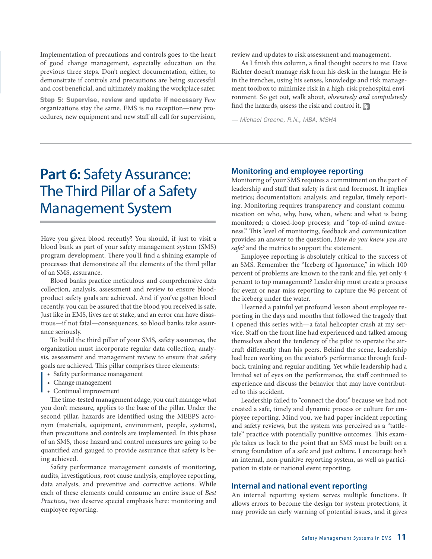Implementation of precautions and controls goes to the heart of good change management, especially education on the previous three steps. Don't neglect documentation, either, to demonstrate if controls and precautions are being successful and cost beneficial, and ultimately making the workplace safer.

Step 5: Supervise, review and update if necessary Few organizations stay the same. EMS is no exception—new procedures, new equipment and new staff all call for supervision, review and updates to risk assessment and management.

find the hazards, assess the risk and control it. <mark>Bp</mark> As I finish this column, a final thought occurs to me: Dave Richter doesn't manage risk from his desk in the hangar. He is in the trenches, using his senses, knowledge and risk management toolbox to minimize risk in a high-risk prehospital environment. So get out, walk about, obsessively and compulsively

— Michael Greene, R.N., MBA, MSHA

### **Part 6:** Safety Assurance: The Third Pillar of a Safety Management System

Have you given blood recently? You should, if just to visit a blood bank as part of your safety management system (SMS) program development. There you'll find a shining example of processes that demonstrate all the elements of the third pillar of an SMS, assurance.

Blood banks practice meticulous and comprehensive data collection, analysis, assessment and review to ensure bloodproduct safety goals are achieved. And if you've gotten blood recently, you can be assured that the blood you received is safe. Just like in EMS, lives are at stake, and an error can have disastrous—if not fatal—consequences, so blood banks take assurance seriously.

To build the third pillar of your SMS, safety assurance, the organization must incorporate regular data collection, analysis, assessment and management review to ensure that safety goals are achieved. This pillar comprises three elements:

- Safety performance management
- Change management
- Continual improvement

The time-tested management adage, you can't manage what you don't measure, applies to the base of the pillar. Under the second pillar, hazards are identified using the MEEPS acronym (materials, equipment, environment, people, systems), then precautions and controls are implemented. In this phase of an SMS, those hazard and control measures are going to be quantified and gauged to provide assurance that safety is being achieved.

Safety performance management consists of monitoring, audits, investigations, root cause analysis, employee reporting, data analysis, and preventive and corrective actions. While each of these elements could consume an entire issue of Best Practices, two deserve special emphasis here: monitoring and employee reporting.

#### **Monitoring and employee reporting**

Monitoring of your SMS requires a commitment on the part of leadership and staff that safety is first and foremost. It implies metrics; documentation; analysis; and regular, timely reporting. Monitoring requires transparency and constant communication on who, why, how, when, where and what is being monitored; a closed-loop process; and "top-of-mind awareness." This level of monitoring, feedback and communication provides an answer to the question, How do you know you are safe? and the metrics to support the statement.

Employee reporting is absolutely critical to the success of an SMS. Remember the "Iceberg of Ignorance," in which 100 percent of problems are known to the rank and file, yet only 4 percent to top management? Leadership must create a process for event or near-miss reporting to capture the 96 percent of the iceberg under the water.

I learned a painful yet profound lesson about employee reporting in the days and months that followed the tragedy that I opened this series with—a fatal helicopter crash at my service. Staff on the front line had experienced and talked among themselves about the tendency of the pilot to operate the aircraft differently than his peers. Behind the scene, leadership had been working on the aviator's performance through feedback, training and regular auditing. Yet while leadership had a limited set of eyes on the performance, the staff continued to experience and discuss the behavior that may have contributed to this accident.

Leadership failed to "connect the dots" because we had not created a safe, timely and dynamic process or culture for employee reporting. Mind you, we had paper incident reporting and safety reviews, but the system was perceived as a "tattletale" practice with potentially punitive outcomes. This example takes us back to the point that an SMS must be built on a strong foundation of a safe and just culture. I encourage both an internal, non-punitive reporting system, as well as participation in state or national event reporting.

#### **Internal and national event reporting**

An internal reporting system serves multiple functions. It allows errors to become the design for system protections, it may provide an early warning of potential issues, and it gives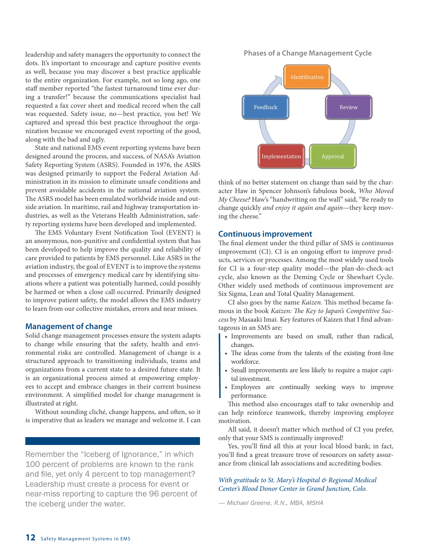leadership and safety managers the opportunity to connect the dots. It's important to encourage and capture positive events as well, because you may discover a best practice applicable to the entire organization. For example, not so long ago, one staff member reported "the fastest turnaround time ever during a transfer!" because the communications specialist had requested a fax cover sheet and medical record when the call was requested. Safety issue, no—best practice, you bet! We captured and spread this best practice throughout the organization because we encouraged event reporting of the good, along with the bad and ugly.

State and national EMS event reporting systems have been designed around the process, and success, of NASA's Aviation Safety Reporting System (ASRS). Founded in 1976, the ASRS was designed primarily to support the Federal Aviation Administration in its mission to eliminate unsafe conditions and prevent avoidable accidents in the national aviation system. The ASRS model has been emulated worldwide inside and outside aviation. In maritime, rail and highway transportation industries, as well as the Veterans Health Administration, safety reporting systems have been developed and implemented.

The EMS Voluntary Event Notification Tool (EVENT) is an anonymous, non-punitive and confidential system that has been developed to help improve the quality and reliability of care provided to patients by EMS personnel. Like ASRS in the aviation industry, the goal of EVENT is to improve the systems and processes of emergency medical care by identifying situations where a patient was potentially harmed, could possibly be harmed or when a close call occurred. Primarily designed to improve patient safety, the model allows the EMS industry to learn from our collective mistakes, errors and near misses.

#### **Management of change**

Solid change management processes ensure the system adapts to change while ensuring that the safety, health and environmental risks are controlled. Management of change is a structured approach to transitioning individuals, teams and organizations from a current state to a desired future state. It is an organizational process aimed at empowering employees to accept and embrace changes in their current business environment. A simplified model for change management is illustrated at right.

Without sounding cliché, change happens, and often, so it is imperative that as leaders we manage and welcome it. I can

Remember the "Iceberg of Ignorance," in which 100 percent of problems are known to the rank and file, yet only 4 percent to top management? Leadership must create a process for event or near-miss reporting to capture the 96 percent of the iceberg under the water.

**Phases of a Change Management Cycle**



think of no better statement on change than said by the character Haw in Spencer Johnson's fabulous book, Who Moved My Cheese? Haw's "handwriting on the wall" said, "Be ready to change quickly and enjoy it again and again-they keep moving the cheese."

#### **Continuous improvement**

The final element under the third pillar of SMS is continuous improvement (CI). CI is an ongoing effort to improve products, services or processes. Among the most widely used tools for CI is a four-step quality model—the plan-do-check-act cycle, also known as the Deming Cycle or Shewhart Cycle. Other widely used methods of continuous improvement are Six Sigma, Lean and Total Quality Management.

CI also goes by the name Kaizen. This method became famous in the book Kaizen: The Key to Japan's Competitive Success by Masaaki Imai. Key features of Kaizen that I find advantageous in an SMS are:

- Improvements are based on small, rather than radical, changes.
- The ideas come from the talents of the existing front-line workforce.
- Small improvements are less likely to require a major capital investment.
- Employees are continually seeking ways to improve performance.

This method also encourages staff to take ownership and can help reinforce teamwork, thereby improving employee motivation.

All said, it doesn't matter which method of CI you prefer, only that your SMS is continually improved!

Yes, you'll find all this at your local blood bank; in fact, you'll find a great treasure trove of resources on safety assurance from clinical lab associations and accrediting bodies.

#### With gratitude to St. Mary's Hospital & Regional Medical Center's Blood Donor Center in Grand Junction, Colo.

— Michael Greene, R.N., MBA, MSHA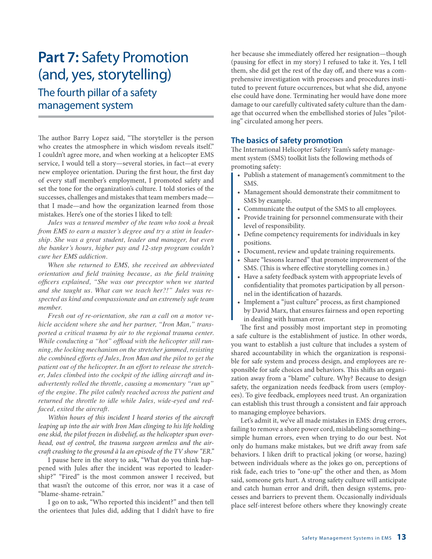### **Part 7:** Safety Promotion (and, yes, storytelling)

### The fourth pillar of a safety management system

The author Barry Lopez said, "The storyteller is the person who creates the atmosphere in which wisdom reveals itself." I couldn't agree more, and when working at a helicopter EMS service, I would tell a story—several stories, in fact—at every new employee orientation. During the first hour, the first day of every staff member's employment, I promoted safety and set the tone for the organization's culture. I told stories of the successes, challenges and mistakes that team members made that I made—and how the organization learned from those mistakes. Here's one of the stories I liked to tell:

*Jules was a tenured member of the team who took a break from EMS to earn a master's degree and try a stint in leadership. She was a great student, leader and manager, but even the banker's hours, higher pay and 12-step program couldn't cure her EMS addiction.* 

*When she returned to EMS, she received an abbreviated*  orientation and field training because, as the field training officers explained, "She was our preceptor when we started *and she taught us. What can we teach her?!" Jules was re* spected as kind and compassionate and an extremely safe team *member.* 

*Fresh out of re-orientation, she ran a call on a motor ve hicle accident where she and her partner, "Iron Man," transported a critical trauma by air to the regional trauma center.*  While conducting a "hot" offload with the helicopter still run*ning, the locking mechanism on the stretcher jammed, resisting the combined efforts of Jules, Iron Man and the pilot to get the* patient out of the helicopter. In an effort to release the stretch*er, Jules climbed into the cockpit of the idling aircraft and in advertently rolled the throttle, causing a momentary "run up" of the engine. The pilot calmly reached across the patient and returned the throttle to idle while Jules, wide-eyed and red faced, exited the aircraft.* 

Within hours of this incident I heard stories of the aircraft leaping up into the air with Iron Man clinging to his life holding one skid, the pilot frozen in disbelief, as the helicopter spun overhead, out of control, the trauma surgeon armless and the aircraft crashing to the ground à la an episode of the TV show "ER."

I pause here in the story to ask, "What do you think happened with Jules after the incident was reported to leadership?" "Fired" is the most common answer I received, but that wasn't the outcome of this error, nor was it a case of "blame-shame-retrain."

I go on to ask, "Who reported this incident?" and then tell the orientees that Jules did, adding that I didn't have to fire her because she immediately offered her resignation—though (pausing for effect in my story) I refused to take it. Yes, I tell them, she did get the rest of the day off, and there was a comprehensive investigation with processes and procedures instituted to prevent future occurrences, but what she did, anyone else could have done. Terminating her would have done more damage to our carefully cultivated safety culture than the damage that occurred when the embellished stories of Jules "piloting" circulated among her peers.

#### **The basics of safety promotion**

The International Helicopter Safety Team's safety management system (SMS) toolkit lists the following methods of promoting safety:

- Publish a statement of management's commitment to the SMS.
- Management should demonstrate their commitment to SMS by example.
- Communicate the output of the SMS to all employees.
- Provide training for personnel commensurate with their level of responsibility.
- Define competency requirements for individuals in key positions.
- Document, review and update training requirements.
- Share "lessons learned" that promote improvement of the SMS. (This is where effective storytelling comes in.)
- Have a safety feedback system with appropriate levels of confidentiality that promotes participation by all personnel in the identification of hazards.
- Implement a "just culture" process, as first championed by David Marx, that ensures fairness and open reporting in dealing with human error.

The first and possibly most important step in promoting a safe culture is the establishment of justice. In other words, you want to establish a just culture that includes a system of shared accountability in which the organization is responsible for safe system and process design, and employees are responsible for safe choices and behaviors. This shifts an organization away from a "blame" culture. Why? Because to design safety, the organization needs feedback from users (employees). To give feedback, employees need trust. An organization can establish this trust through a consistent and fair approach to managing employee behaviors.

Let's admit it, we've all made mistakes in EMS: drug errors, failing to remove a shore power cord, mislabeling something simple human errors, even when trying to do our best. Not only do humans make mistakes, but we drift away from safe behaviors. I liken drift to practical joking (or worse, hazing) between individuals where as the jokes go on, perceptions of risk fade, each tries to "one-up" the other and then, as Mom said, someone gets hurt. A strong safety culture will anticipate and catch human error and drift, then design systems, processes and barriers to prevent them. Occasionally individuals place self-interest before others where they knowingly create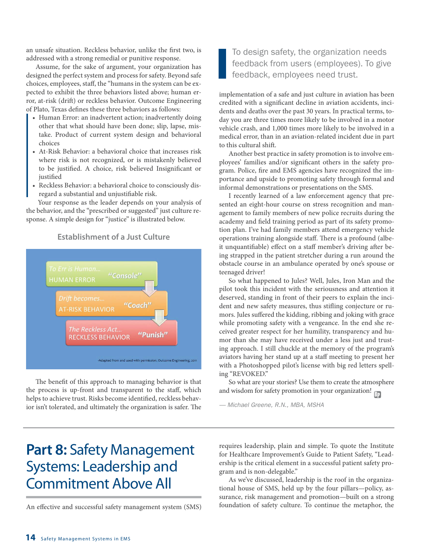an unsafe situation. Reckless behavior, unlike the first two, is addressed with a strong remedial or punitive response.

Assume, for the sake of argument, your organization has designed the perfect system and process for safety. Beyond safe choices, employees, staff, the "humans in the system can be expected to exhibit the three behaviors listed above; human error, at-risk (drift) or reckless behavior. Outcome Engineering of Plato, Texas defines these three behaviors as follows:

- Human Error: an inadvertent action; inadvertently doing other that what should have been done; slip, lapse, mistake. Product of current system design and behavioral choices
- At-Risk Behavior: a behavioral choice that increases risk where risk is not recognized, or is mistakenly believed to be justified. A choice, risk believed Insignificant or justified
- Reckless Behavior: a behavioral choice to consciously disregard a substantial and unjustifiable risk.

 Your response as the leader depends on your analysis of the behavior, and the "prescribed or suggested" just culture response. A simple design for "justice" is illustrated below.

**Establishment of a Just Culture**



The benefit of this approach to managing behavior is that the process is up-front and transparent to the staff, which helps to achieve trust. Risks become identified, reckless behavior isn't tolerated, and ultimately the organization is safer. The

### **Part 8:** Safety Management Systems: Leadership and Commitment Above All

An effective and successful safety management system (SMS)

To design safety, the organization needs feedback from users (employees). To give feedback, employees need trust.

implementation of a safe and just culture in aviation has been credited with a significant decline in aviation accidents, incidents and deaths over the past 30 years. In practical terms, today you are three times more likely to be involved in a motor vehicle crash, and 1,000 times more likely to be involved in a medical error, than in an aviation-related incident due in part to this cultural shift.

Another best practice in safety promotion is to involve employees' families and/or significant others in the safety program. Police, fire and EMS agencies have recognized the importance and upside to promoting safety through formal and informal demonstrations or presentations on the SMS.

I recently learned of a law enforcement agency that presented an eight-hour course on stress recognition and management to family members of new police recruits during the academy and field training period as part of its safety promotion plan. I've had family members attend emergency vehicle operations training alongside staff. There is a profound (albeit unquantifiable) effect on a staff member's driving after being strapped in the patient stretcher during a run around the obstacle course in an ambulance operated by one's spouse or teenaged driver!

So what happened to Jules? Well, Jules, Iron Man and the pilot took this incident with the seriousness and attention it deserved, standing in front of their peers to explain the incident and new safety measures, thus stifling conjecture or rumors. Jules suffered the kidding, ribbing and joking with grace while promoting safety with a vengeance. In the end she received greater respect for her humility, transparency and humor than she may have received under a less just and trusting approach. I still chuckle at the memory of the program's aviators having her stand up at a staff meeting to present her with a Photoshopped pilot's license with big red letters spelling "REVOKED."

So what are your stories? Use them to create the atmosphere and wisdom for safety promotion in your organization!  $\mathbb{F}_2$ 

— Michael Greene, R.N., MBA, MSHA

requires leadership, plain and simple. To quote the Institute for Healthcare Improvement's Guide to Patient Safety, "Leadership is the critical element in a successful patient safety program and is non-delegable."

As we've discussed, leadership is the roof in the organizational house of SMS, held up by the four pillars—policy, assurance, risk management and promotion—built on a strong foundation of safety culture. To continue the metaphor, the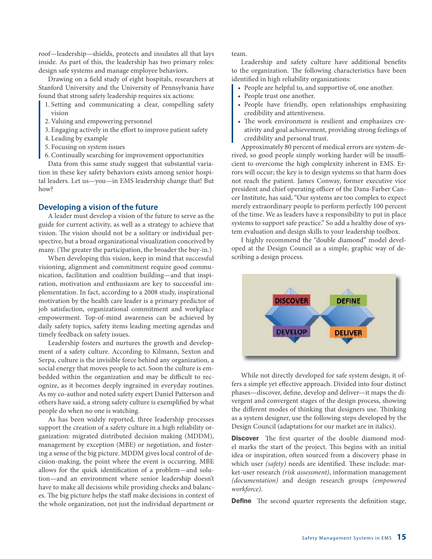roof—leadership—shields, protects and insulates all that lays inside. As part of this, the leadership has two primary roles: design safe systems and manage employee behaviors.

Drawing on a field study of eight hospitals, researchers at Stanford University and the University of Pennsylvania have found that strong safety leadership requires six actions:

- 1. Setting and communicating a clear, compelling safety vision
- 2. Valuing and empowering personnel
- 3. Engaging actively in the effort to improve patient safety
- 4. Leading by example
- 5. Focusing on system issues
- 6. Continually searching for improvement opportunities

Data from this same study suggest that substantial variation in these key safety behaviors exists among senior hospital leaders. Let us—you—in EMS leadership change that! But how?

#### **Developing a vision of the future**

A leader must develop a vision of the future to serve as the guide for current activity, as well as a strategy to achieve that vision. The vision should not be a solitary or individual perspective, but a broad organizational visualization conceived by many. (The greater the participation, the broader the buy-in.)

When developing this vision, keep in mind that successful visioning, alignment and commitment require good communication, facilitation and coalition building—and that inspiration, motivation and enthusiasm are key to successful implementation. In fact, according to a 2008 study, inspirational motivation by the health care leader is a primary predictor of job satisfaction, organizational commitment and workplace empowerment. Top-of-mind awareness can be achieved by daily safety topics, safety items leading meeting agendas and timely feedback on safety issues.

Leadership fosters and nurtures the growth and development of a safety culture. According to Kilmann, Sexton and Serpa, culture is the invisible force behind any organization, a social energy that moves people to act. Soon the culture is embedded within the organization and may be difficult to recognize, as it becomes deeply ingrained in everyday routines. As my co-author and noted safety expert Daniel Patterson and others have said, a strong safety culture is exemplified by what people do when no one is watching.

As has been widely reported, three leadership processes support the creation of a safety culture in a high reliability organization: migrated distributed decision making (MDDM), management by exception (MBE) or negotiation, and fostering a sense of the big picture. MDDM gives local control of decision-making, the point where the event is occurring. MBE allows for the quick identification of a problem—and solution—and an environment where senior leadership doesn't have to make all decisions while providing checks and balances. The big picture helps the staff make decisions in context of the whole organization, not just the individual department or

team.

Leadership and safety culture have additional benefits to the organization. The following characteristics have been identified in high reliability organizations:

- People are helpful to, and supportive of, one another.
- People trust one another.
- People have friendly, open relationships emphasizing credibility and attentiveness.
- The work environment is resilient and emphasizes creativity and goal achievement, providing strong feelings of credibility and personal trust.

Approximately 80 percent of medical errors are system-derived, so good people simply working harder will be insufficient to overcome the high complexity inherent in EMS. Errors will occur; the key is to design systems so that harm does not reach the patient. James Conway, former executive vice president and chief operating officer of the Dana-Farber Cancer Institute, has said, "Our systems are too complex to expect merely extraordinary people to perform perfectly 100 percent of the time. We as leaders have a responsibility to put in place systems to support safe practice." So add a healthy dose of system evaluation and design skills to your leadership toolbox.

I highly recommend the "double diamond" model developed at the Design Council as a simple, graphic way of describing a design process.



While not directly developed for safe system design, it offers a simple yet effective approach. Divided into four distinct phases—discover, define, develop and deliver—it maps the divergent and convergent stages of the design process, showing the different modes of thinking that designers use. Thinking as a system designer, use the following steps developed by the Design Council (adaptations for our market are in italics).

**Discover** The first quarter of the double diamond model marks the start of the project. This begins with an initial idea or inspiration, often sourced from a discovery phase in which user *(safety)* needs are identified. These include: market-user research (risk assessment), information management (documentation) and design research groups (empowered workforce).

**Define** The second quarter represents the definition stage,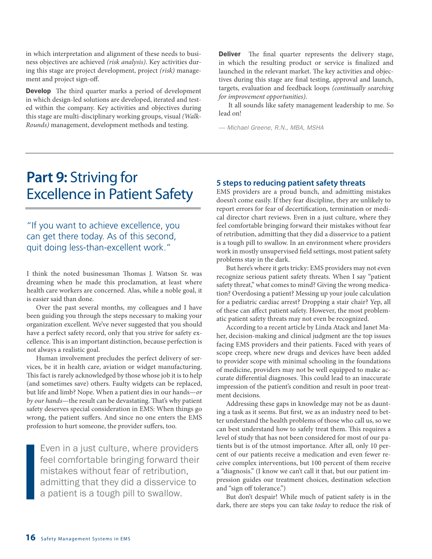in which interpretation and alignment of these needs to business objectives are achieved (risk analysis). Key activities during this stage are project development, project (risk) management and project sign-off.

**Develop** The third quarter marks a period of development in which design-led solutions are developed, iterated and tested within the company. Key activities and objectives during this stage are multi-disciplinary working groups, visual (Walk-Rounds) management, development methods and testing.

**Deliver** The final quarter represents the delivery stage, in which the resulting product or service is finalized and launched in the relevant market. The key activities and objectives during this stage are final testing, approval and launch, targets, evaluation and feedback loops (continually searching for improvement opportunities).

It all sounds like safety management leadership to me. So lead on!

— Michael Greene, R.N., MBA, MSHA

### **Part 9:** Striving for Excellence in Patient Safety

"If you want to achieve excellence, you can get there today. As of this second, quit doing less-than-excellent work."

I think the noted businessman Thomas J. Watson Sr. was dreaming when he made this proclamation, at least where health care workers are concerned. Alas, while a noble goal, it is easier said than done.

Over the past several months, my colleagues and I have been guiding you through the steps necessary to making your organization excellent. We've never suggested that you should have a perfect safety record, only that you strive for safety excellence. This is an important distinction, because perfection is not always a realistic goal.

Human involvement precludes the perfect delivery of services, be it in health care, aviation or widget manufacturing. This fact is rarely acknowledged by those whose job it is to help (and sometimes save) others. Faulty widgets can be replaced, but life and limb? Nope. When a patient dies in our hands—or by our hands—the result can be devastating. That's why patient safety deserves special consideration in EMS: When things go wrong, the patient suffers. And since no one enters the EMS profession to hurt someone, the provider suffers, too.

Even in a just culture, where providers feel comfortable bringing forward their mistakes without fear of retribution, admitting that they did a disservice to a patient is a tough pill to swallow.

#### **5 steps to reducing patient safety threats**

EMS providers are a proud bunch, and admitting mistakes doesn't come easily. If they fear discipline, they are unlikely to report errors for fear of decertification, termination or medical director chart reviews. Even in a just culture, where they feel comfortable bringing forward their mistakes without fear of retribution, admitting that they did a disservice to a patient is a tough pill to swallow. In an environment where providers work in mostly unsupervised field settings, most patient safety problems stay in the dark.

But here's where it gets tricky: EMS providers may not even recognize serious patient safety threats. When I say "patient safety threat," what comes to mind? Giving the wrong medication? Overdosing a patient? Messing up your joule calculation for a pediatric cardiac arrest? Dropping a stair chair? Yep, all of these can affect patient safety. However, the most problematic patient safety threats may not even be recognized.

According to a recent article by Linda Atack and Janet Maher, decision-making and clinical judgment are the top issues facing EMS providers and their patients. Faced with years of scope creep, where new drugs and devices have been added to provider scope with minimal schooling in the foundations of medicine, providers may not be well equipped to make accurate differential diagnoses. This could lead to an inaccurate impression of the patient's condition and result in poor treatment decisions.

Addressing these gaps in knowledge may not be as daunting a task as it seems. But first, we as an industry need to better understand the health problems of those who call us, so we can best understand how to safely treat them. This requires a level of study that has not been considered for most of our patients but is of the utmost importance. After all, only 10 percent of our patients receive a medication and even fewer receive complex interventions, but 100 percent of them receive a "diagnosis." (I know we can't call it that, but our patient impression guides our treatment choices, destination selection and "sign off tolerance.")

But don't despair! While much of patient safety is in the dark, there are steps you can take today to reduce the risk of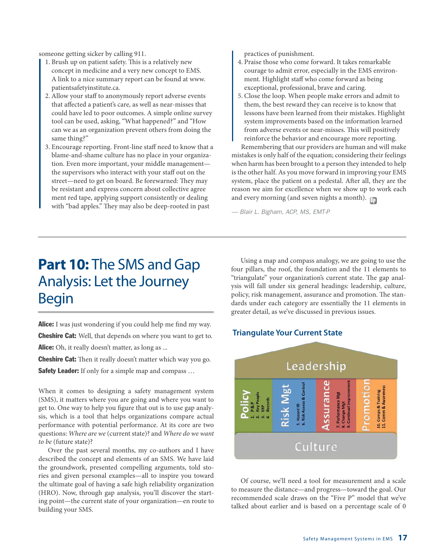someone getting sicker by calling 911.

- 1. Brush up on patient safety. This is a relatively new concept in medicine and a very new concept to EMS. A link to a nice summary report can be found at www. patientsafetyinstitute.ca.
- 2. Allow your staff to anonymously report adverse events that affected a patient's care, as well as near-misses that could have led to poor outcomes. A simple online survey tool can be used, asking, "What happened?" and "How can we as an organization prevent others from doing the same thing?"
- 3. Encourage reporting. Front-line staff need to know that a blame-and-shame culture has no place in your organization. Even more important, your middle management the supervisors who interact with your staff out on the street—need to get on board. Be forewarned: They may be resistant and express concern about collective agree ment red tape, applying support consistently or dealing with "bad apples." They may also be deep-rooted in past

practices of punishment.

- 4. Praise those who come forward. It takes remarkable courage to admit error, especially in the EMS environment. Highlight staff who come forward as being exceptional, professional, brave and caring.
- 5. Close the loop. When people make errors and admit to them, the best reward they can receive is to know that lessons have been learned from their mistakes. Highlight system improvements based on the information learned from adverse events or near-misses. This will positively reinforce the behavior and encourage more reporting.

Remembering that our providers are human and will make mistakes is only half of the equation; considering their feelings when harm has been brought to a person they intended to help is the other half. As you move forward in improving your EMS system, place the patient on a pedestal. After all, they are the reason we aim for excellence when we show up to work each and every morning (and seven nights a month).  $\mathbb{F}_2$ 

— Blair L. Bigham, ACP, MS, EMT-P

### **Part 10:** The SMS and Gap Analysis: Let the Journey Begin

Alice: I was just wondering if you could help me find my way. **Cheshire Cat:** Well, that depends on where you want to get to. Alice: Oh, it really doesn't matter, as long as ...

**Cheshire Cat:** Then it really doesn't matter which way you go. **Safety Leader:** If only for a simple map and compass ...

When it comes to designing a safety management system (SMS), it matters where you are going and where you want to get to. One way to help you figure that out is to use gap analysis, which is a tool that helps organizations compare actual performance with potential performance. At its core are two questions: Where are we (current state)? and Where do we want to be (future state)?

Over the past several months, my co-authors and I have described the concept and elements of an SMS. We have laid the groundwork, presented compelling arguments, told stories and given personal examples—all to inspire you toward the ultimate goal of having a safe high reliability organization (HRO). Now, through gap analysis, you'll discover the starting point—the current state of your organization—en route to building your SMS.

Using a map and compass analogy, we are going to use the four pillars, the roof, the foundation and the 11 elements to "triangulate" your organization's current state. The gap analysis will fall under six general headings: leadership, culture, policy, risk management, assurance and promotion. The standards under each category are essentially the 11 elements in greater detail, as we've discussed in previous issues.

#### **Triangulate Your Current State**



Of course, we'll need a tool for measurement and a scale to measure the distance—and progress—toward the goal. Our recommended scale draws on the "Five P" model that we've talked about earlier and is based on a percentage scale of 0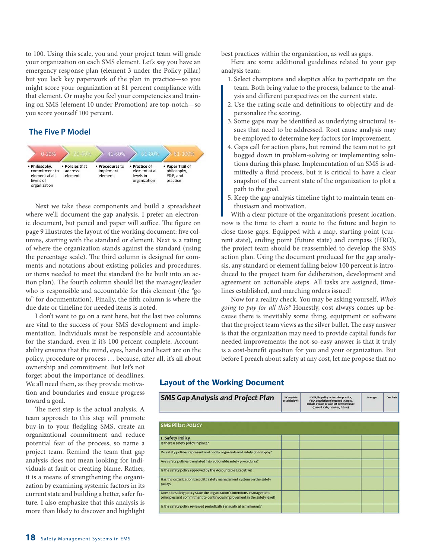to 100. Using this scale, you and your project team will grade your organization on each SMS element. Let's say you have an emergency response plan (element 3 under the Policy pillar) but you lack key paperwork of the plan in practice—so you might score your organization at 81 percent compliance with that element. Or maybe you feel your competencies and training on SMS (element 10 under Promotion) are top-notch—so you score yourself 100 percent.

#### **The Five P Model**



Next we take these components and build a spreadsheet where we'll document the gap analysis. I prefer an electronic document, but pencil and paper will suffice. The figure on page 9 illustrates the layout of the working document: five columns, starting with the standard or element. Next is a rating of where the organization stands against the standard (using the percentage scale). The third column is designed for comments and notations about existing policies and procedures, or items needed to meet the standard (to be built into an action plan). The fourth column should list the manager/leader who is responsible and accountable for this element (the "go to" for documentation). Finally, the fifth column is where the due date or timeline for needed items is noted.

I don't want to go on a rant here, but the last two columns are vital to the success of your SMS development and implementation. Individuals must be responsible and accountable for the standard, even if it's 100 percent complete. Accountability ensures that the mind, eyes, hands and heart are on the policy, procedure or process … because, after all, it's all about

ownership and commitment. But let's not forget about the importance of deadlines. We all need them, as they provide motivation and boundaries and ensure progress toward a goal.

The next step is the actual analysis. A team approach to this step will promote buy-in to your fledgling SMS, create an organizational commitment and reduce potential fear of the process, so name a project team. Remind the team that gap analysis does not mean looking for individuals at fault or creating blame. Rather, it is a means of strengthening the organization by examining systemic factors in its current state and building a better, safer future. I also emphasize that this analysis is more than likely to discover and highlight

best practices within the organization, as well as gaps.

Here are some additional guidelines related to your gap analysis team:

- 1. Select champions and skeptics alike to participate on the team. Both bring value to the process, balance to the analysis and different perspectives on the current state.
- 2. Use the rating scale and definitions to objectify and depersonalize the scoring.
- 3. Some gaps may be identified as underlying structural issues that need to be addressed. Root cause analysis may be employed to determine key factors for improvement.
- 4. Gaps call for action plans, but remind the team not to get bogged down in problem-solving or implementing solutions during this phase. Implementation of an SMS is admittedly a fluid process, but it is critical to have a clear snapshot of the current state of the organization to plot a path to the goal.
- 5. Keep the gap analysis timeline tight to maintain team enthusiasm and motivation.

With a clear picture of the organization's present location, now is the time to chart a route to the future and begin to close those gaps. Equipped with a map, starting point (current state), ending point (future state) and compass (HRO), the project team should be reassembled to develop the SMS action plan. Using the document produced for the gap analysis, any standard or element falling below 100 percent is introduced to the project team for deliberation, development and agreement on actionable steps. All tasks are assigned, timelines established, and marching orders issued!

Now for a reality check. You may be asking yourself, Who's going to pay for all this? Honestly, cost always comes up because there is inevitably some thing, equipment or software that the project team views as the silver bullet. The easy answer is that the organization may need to provide capital funds for needed improvements; the not-so-easy answer is that it truly is a cost-benefit question for you and your organization. But before I preach about safety at any cost, let me propose that no

#### Layout of the Working Document

| <b>SMS Gap Analysis and Project Plan</b>                                                                                                           | % Complete<br>(scale below) | If YES, list policy or describe practice,<br>If NO, description of required changes,<br>Include a vision or wish list item for future<br>(current state, required, future) | Manager | Due Date |
|----------------------------------------------------------------------------------------------------------------------------------------------------|-----------------------------|----------------------------------------------------------------------------------------------------------------------------------------------------------------------------|---------|----------|
| <b>SMS Pillar: POLICY</b>                                                                                                                          |                             |                                                                                                                                                                            |         |          |
| 1. Safety Policy                                                                                                                                   |                             |                                                                                                                                                                            |         |          |
| Is there a safety policy in place?                                                                                                                 |                             |                                                                                                                                                                            |         |          |
| Do safety policies represent and codify organizational safety philosophy?                                                                          |                             |                                                                                                                                                                            |         |          |
| Are safety policies translated into actionable safety procedures?                                                                                  |                             |                                                                                                                                                                            |         |          |
| Is the safety policy approved by the Accountable Executive?                                                                                        |                             |                                                                                                                                                                            |         |          |
| Has the organization based its safety management system on the safety<br>policy?                                                                   |                             |                                                                                                                                                                            |         |          |
| Does the safety policy state the organization's intentions, management<br>principles and commitment to continuous improvement in the safety level? |                             |                                                                                                                                                                            |         |          |
| Is the safety policy reviewed periodically (annually at a minimum)?                                                                                |                             |                                                                                                                                                                            |         |          |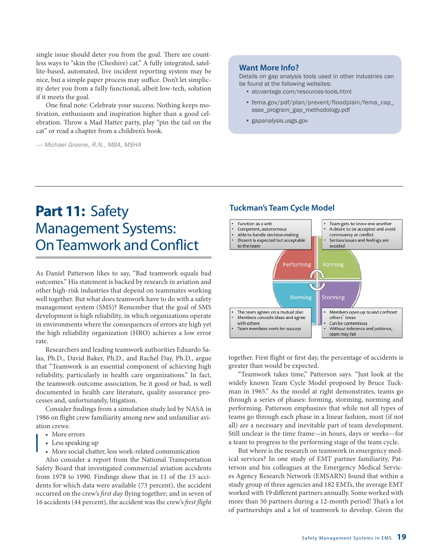single issue should deter you from the goal. There are countless ways to "skin the (Cheshire) cat." A fully integrated, satellite-based, automated, live incident reporting system may be nice, but a simple paper process may suffice. Don't let simplicity deter you from a fully functional, albeit low-tech, solution if it meets the goal.

One final note: Celebrate your success. Nothing keeps motivation, enthusiasm and inspiration higher than a good celebration. Throw a Mad Hatter party, play "pin the tail on the cat" or read a chapter from a children's book.

— Michael Greene, R.N., MBA, MSHA

#### **Want More Info?**

Details on gap analysis tools used in other industries can be found at the following websites:

- atcvantage.com/resources-tools.html
- fema.gov/pdf/plan/prevent/floodplain/fema\_cap\_ ssse\_program\_gap\_methodology.pdf
- gapanalysis.usgs.gov

### **Part 11:** Safety Management Systems: On Teamwork and Conflict

As Daniel Patterson likes to say, "Bad teamwork equals bad outcomes." His statement is backed by research in aviation and other high-risk industries that depend on teammates working well together. But what does teamwork have to do with a safety management system (SMS)? Remember that the goal of SMS development is high reliability, in which organizations operate in environments where the consequences of errors are high yet the high reliability organization (HRO) achieves a low error rate.

Researchers and leading teamwork authorities Eduardo Salas, Ph.D., David Baker, Ph.D., and Rachel Day, Ph.D., argue that "Teamwork is an essential component of achieving high reliability, particularly in health care organizations." In fact, the teamwork-outcome association, be it good or bad, is well documented in health care literature, quality assurance processes and, unfortunately, litigation.

Consider findings from a simulation study led by NASA in 1986 on flight crew familiarity among new and unfamiliar aviation crews:

- More errors
- Less speaking up
- More social chatter, less work-related communication

Also consider a report from the National Transportation Safety Board that investigated commercial aviation accidents from 1978 to 1990. Findings show that in 11 of the 15 accidents for which data were available (73 percent), the accident occurred on the crew's first day flying together; and in seven of 16 accidents (44 percent), the accident was the crew's first flight

#### **Tuckman's Team Cycle Model**



together. First flight or first day, the percentage of accidents is greater than would be expected.

"Teamwork takes time," Patterson says. "Just look at the widely known Team Cycle Model proposed by Bruce Tuckman in 1965." As the model at right demonstrates, teams go through a series of phases: forming, storming, norming and performing. Patterson emphasizes that while not all types of teams go through each phase in a linear fashion, most (if not all) are a necessary and inevitable part of team development. Still unclear is the time frame—in hours, days or weeks—for a team to progress to the performing stage of the team cycle.

But where is the research on teamwork in emergency medical services? In one study of EMT partner familiarity, Patterson and his colleagues at the Emergency Medical Services Agency Research Network (EMSARN) found that within a study group of three agencies and 182 EMTs, the average EMT worked with 19 different partners annually. Some worked with more than 50 partners during a 12-month period! That's a lot of partnerships and a lot of teamwork to develop. Given the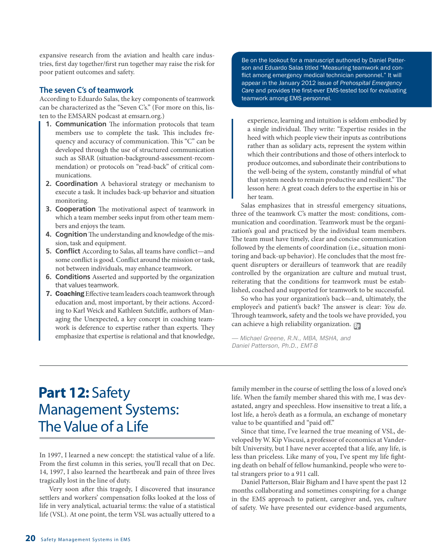expansive research from the aviation and health care industries, first day together/first run together may raise the risk for poor patient outcomes and safety.

#### **The seven C's of teamwork**

According to Eduardo Salas, the key components of teamwork can be characterized as the "Seven C's." (For more on this, listen to the EMSARN podcast at emsarn.org.)

- **1. Communication** The information protocols that team members use to complete the task. This includes frequency and accuracy of communication. This "C" can be developed through the use of structured communication such as SBAR (situation-background-assessment-recommendation) or protocols on "read-back" of critical communications.
- **2. Coordination** A behavioral strategy or mechanism to execute a task. It includes back-up behavior and situation monitoring.
- **3. Cooperation** The motivational aspect of teamwork in which a team member seeks input from other team members and enjoys the team.
- **4. Cognition** The understanding and knowledge of the mission, task and equipment.
- **5. Conflict** According to Salas, all teams have conflict—and some conflict is good. Conflict around the mission or task, not between individuals, may enhance teamwork.
- **6. Conditions** Asserted and supported by the organization that values teamwork.
- 7. Coaching Effective team leaders coach teamwork through education and, most important, by their actions. According to Karl Weick and Kathleen Sutcliffe, authors of Managing the Unexpected, a key concept in coaching teamwork is deference to expertise rather than experts. They emphasize that expertise is relational and that knowledge,

Be on the lookout for a manuscript authored by Daniel Patterson and Eduardo Salas titled "Measuring teamwork and con flict among emergency medical technician personnel." It will appear in the January 2012 issue of *Prehospital Emergency Care and provides the first-ever EMS-tested tool for evaluating*<br>teamwork among EMS personnel teamwork among EMS personnel.

experience, learning and intuition is seldom embodied by a single individual. They write: "Expertise resides in the heed with which people view their inputs as contributions rather than as solidary acts, represent the system within which their contributions and those of others interlock to produce outcomes, and subordinate their contributions to the well-being of the system, constantly mindful of what that system needs to remain productive and resilient." The lesson here: A great coach defers to the expertise in his or her team.

Salas emphasizes that in stressful emergency situations, three of the teamwork C's matter the most: conditions, communication and coordination. Teamwork must be the organization's goal and practiced by the individual team members. The team must have timely, clear and concise communication followed by the elements of coordination (i.e., situation monitoring and back-up behavior). He concludes that the most frequent disrupters or derailleurs of teamwork that are readily controlled by the organization are culture and mutual trust, reiterating that the conditions for teamwork must be established, coached and supported for teamwork to be successful.

So who has your organization's back—and, ultimately, the employee's and patient's back? The answer is clear: You do. Through teamwork, safety and the tools we have provided, you can achieve a high reliability organization.  $\mathbb{F}_p$ 

— Michael Greene, R.N., MBA, MSHA, and Daniel Patterson, Ph.D., EMT-B

### **Part 12:** Safety Management Systems: The Value of a Life

In 1997, I learned a new concept: the statistical value of a life. From the first column in this series, you'll recall that on Dec. 14, 1997, I also learned the heartbreak and pain of three lives tragically lost in the line of duty.

Very soon after this tragedy, I discovered that insurance settlers and workers' compensation folks looked at the loss of life in very analytical, actuarial terms: the value of a statistical life (VSL). At one point, the term VSL was actually uttered to a

family member in the course of settling the loss of a loved one's life. When the family member shared this with me, I was devastated, angry and speechless. How insensitive to treat a life, a lost life, a hero's death as a formula, an exchange of monetary value to be quantified and "paid off."

Since that time, I've learned the true meaning of VSL, developed by W. Kip Viscusi, a professor of economics at Vanderbilt University, but I have never accepted that a life, any life, is less than priceless. Like many of you, I've spent my life fighting death on behalf of fellow humankind, people who were total strangers prior to a 911 call.

Daniel Patterson, Blair Bigham and I have spent the past 12 months collaborating and sometimes conspiring for a change in the EMS approach to patient, caregiver and, yes, culture of safety. We have presented our evidence-based arguments,